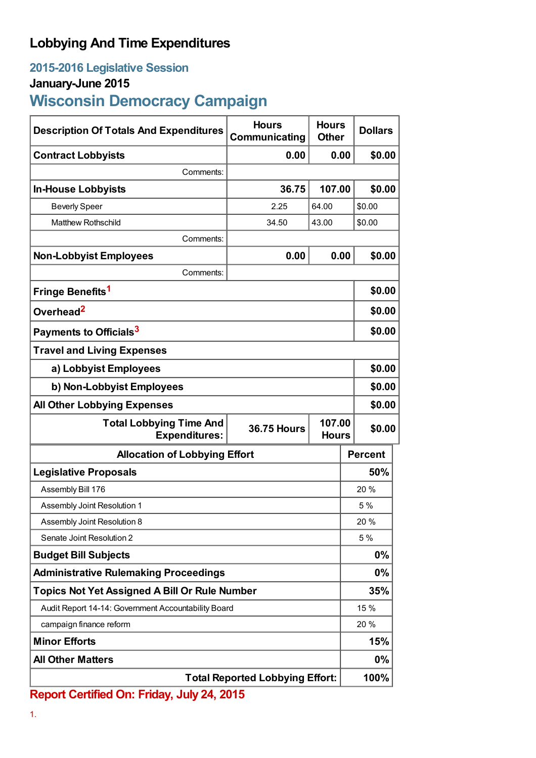## **Lobbying And Time Expenditures**

### **2015-2016 Legislative Session**

### **January-June 2015**

# **Wisconsin Democracy Campaign**

| <b>Description Of Totals And Expenditures</b>          | <b>Hours</b><br><b>Communicating</b> | <b>Hours</b><br><b>Other</b> | <b>Dollars</b> |
|--------------------------------------------------------|--------------------------------------|------------------------------|----------------|
| <b>Contract Lobbyists</b>                              | 0.00                                 | 0.00                         | \$0.00         |
| Comments:                                              |                                      |                              |                |
| <b>In-House Lobbyists</b>                              | 36.75                                | 107.00                       | \$0.00         |
| <b>Beverly Speer</b>                                   | 2.25                                 | 64.00                        | \$0.00         |
| Matthew Rothschild                                     | 34.50                                | 43.00                        | \$0.00         |
| Comments:                                              |                                      |                              |                |
| <b>Non-Lobbyist Employees</b>                          | 0.00                                 | 0.00                         | \$0.00         |
| Comments:                                              |                                      |                              |                |
| Fringe Benefits <sup>1</sup>                           |                                      |                              | \$0.00         |
| Overhead <sup>2</sup>                                  |                                      |                              | \$0.00         |
| Payments to Officials <sup>3</sup>                     |                                      |                              | \$0.00         |
| <b>Travel and Living Expenses</b>                      |                                      |                              |                |
| a) Lobbyist Employees                                  |                                      |                              | \$0.00         |
| b) Non-Lobbyist Employees                              |                                      |                              | \$0.00         |
| <b>All Other Lobbying Expenses</b>                     |                                      |                              | \$0.00         |
| <b>Total Lobbying Time And</b><br><b>Expenditures:</b> | <b>36.75 Hours</b>                   | 107.00<br><b>Hours</b>       | \$0.00         |
| <b>Allocation of Lobbying Effort</b>                   |                                      |                              | <b>Percent</b> |
| <b>Legislative Proposals</b>                           |                                      |                              | 50%            |
| Assembly Bill 176                                      |                                      |                              | 20 %           |
| Assembly Joint Resolution 1                            |                                      |                              | 5 %            |
| Assembly Joint Resolution 8                            |                                      |                              | 20 %           |
| Senate Joint Resolution 2                              |                                      |                              | 5 %            |
| <b>Budget Bill Subjects</b>                            |                                      |                              | 0%             |
| <b>Administrative Rulemaking Proceedings</b>           |                                      |                              | 0%             |
| <b>Topics Not Yet Assigned A Bill Or Rule Number</b>   |                                      |                              | 35%            |
| Audit Report 14-14: Government Accountability Board    |                                      |                              | 15 %           |
| campaign finance reform                                |                                      |                              | 20 %           |
| <b>Minor Efforts</b>                                   |                                      |                              | 15%            |
| <b>All Other Matters</b>                               |                                      |                              | 0%             |
| <b>Total Reported Lobbying Effort:</b>                 |                                      |                              | 100%           |

**Report Certified On: Friday, July 24, 2015**